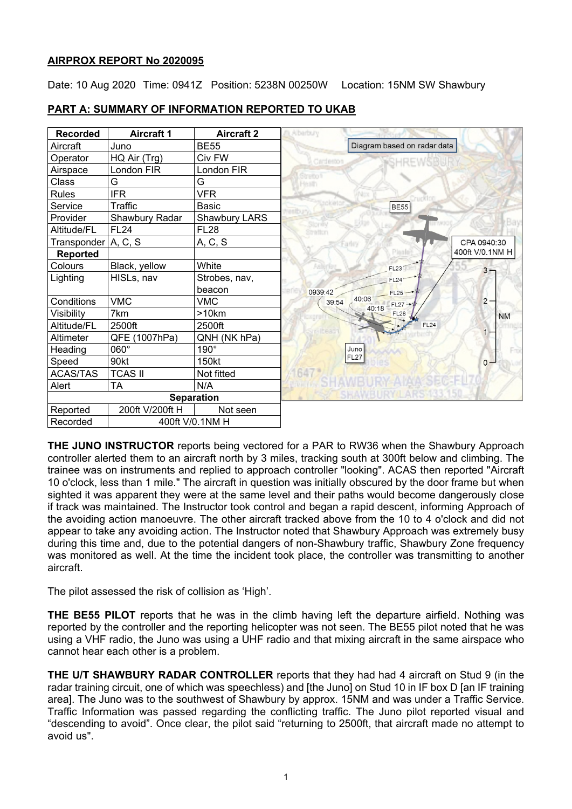## **AIRPROX REPORT No 2020095**

Date: 10 Aug 2020 Time: 0941Z Position: 5238N 00250W Location: 15NM SW Shawbury



## **PART A: SUMMARY OF INFORMATION REPORTED TO UKAB**

**THE JUNO INSTRUCTOR** reports being vectored for a PAR to RW36 when the Shawbury Approach controller alerted them to an aircraft north by 3 miles, tracking south at 300ft below and climbing. The trainee was on instruments and replied to approach controller "looking". ACAS then reported "Aircraft 10 o'clock, less than 1 mile." The aircraft in question was initially obscured by the door frame but when sighted it was apparent they were at the same level and their paths would become dangerously close if track was maintained. The Instructor took control and began a rapid descent, informing Approach of the avoiding action manoeuvre. The other aircraft tracked above from the 10 to 4 o'clock and did not appear to take any avoiding action. The Instructor noted that Shawbury Approach was extremely busy during this time and, due to the potential dangers of non-Shawbury traffic, Shawbury Zone frequency was monitored as well. At the time the incident took place, the controller was transmitting to another aircraft.

The pilot assessed the risk of collision as 'High'.

**THE BE55 PILOT** reports that he was in the climb having left the departure airfield. Nothing was reported by the controller and the reporting helicopter was not seen. The BE55 pilot noted that he was using a VHF radio, the Juno was using a UHF radio and that mixing aircraft in the same airspace who cannot hear each other is a problem.

**THE U/T SHAWBURY RADAR CONTROLLER** reports that they had had 4 aircraft on Stud 9 (in the radar training circuit, one of which was speechless) and [the Juno] on Stud 10 in IF box D [an IF training area]. The Juno was to the southwest of Shawbury by approx. 15NM and was under a Traffic Service. Traffic Information was passed regarding the conflicting traffic. The Juno pilot reported visual and "descending to avoid". Once clear, the pilot said "returning to 2500ft, that aircraft made no attempt to avoid us".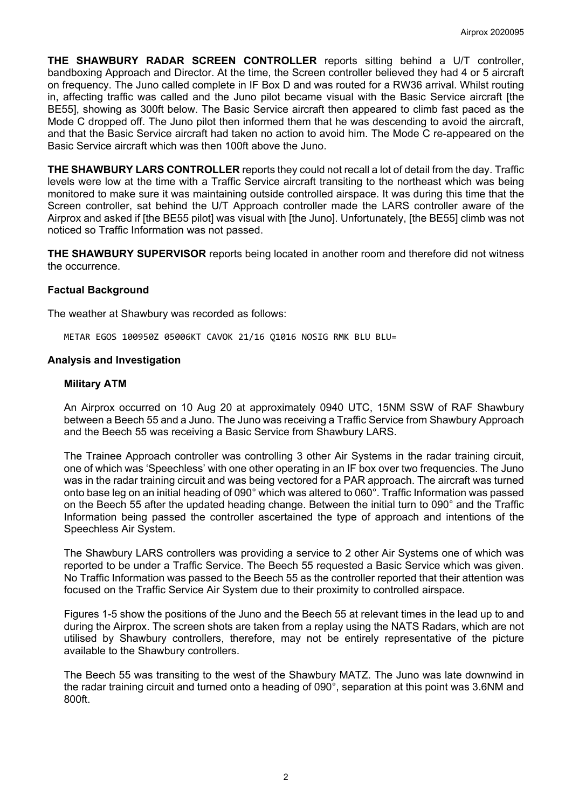**THE SHAWBURY RADAR SCREEN CONTROLLER** reports sitting behind a U/T controller, bandboxing Approach and Director. At the time, the Screen controller believed they had 4 or 5 aircraft on frequency. The Juno called complete in IF Box D and was routed for a RW36 arrival. Whilst routing in, affecting traffic was called and the Juno pilot became visual with the Basic Service aircraft [the BE55], showing as 300ft below. The Basic Service aircraft then appeared to climb fast paced as the Mode C dropped off. The Juno pilot then informed them that he was descending to avoid the aircraft, and that the Basic Service aircraft had taken no action to avoid him. The Mode C re-appeared on the Basic Service aircraft which was then 100ft above the Juno.

**THE SHAWBURY LARS CONTROLLER** reports they could not recall a lot of detail from the day. Traffic levels were low at the time with a Traffic Service aircraft transiting to the northeast which was being monitored to make sure it was maintaining outside controlled airspace. It was during this time that the Screen controller, sat behind the U/T Approach controller made the LARS controller aware of the Airprox and asked if [the BE55 pilot] was visual with [the Juno]. Unfortunately, [the BE55] climb was not noticed so Traffic Information was not passed.

**THE SHAWBURY SUPERVISOR** reports being located in another room and therefore did not witness the occurrence.

#### **Factual Background**

The weather at Shawbury was recorded as follows:

METAR EGOS 100950Z 05006KT CAVOK 21/16 Q1016 NOSIG RMK BLU BLU=

#### **Analysis and Investigation**

#### **Military ATM**

An Airprox occurred on 10 Aug 20 at approximately 0940 UTC, 15NM SSW of RAF Shawbury between a Beech 55 and a Juno. The Juno was receiving a Traffic Service from Shawbury Approach and the Beech 55 was receiving a Basic Service from Shawbury LARS.

The Trainee Approach controller was controlling 3 other Air Systems in the radar training circuit, one of which was 'Speechless' with one other operating in an IF box over two frequencies. The Juno was in the radar training circuit and was being vectored for a PAR approach. The aircraft was turned onto base leg on an initial heading of 090° which was altered to 060°. Traffic Information was passed on the Beech 55 after the updated heading change. Between the initial turn to 090° and the Traffic Information being passed the controller ascertained the type of approach and intentions of the Speechless Air System.

The Shawbury LARS controllers was providing a service to 2 other Air Systems one of which was reported to be under a Traffic Service. The Beech 55 requested a Basic Service which was given. No Traffic Information was passed to the Beech 55 as the controller reported that their attention was focused on the Traffic Service Air System due to their proximity to controlled airspace.

Figures 1-5 show the positions of the Juno and the Beech 55 at relevant times in the lead up to and during the Airprox. The screen shots are taken from a replay using the NATS Radars, which are not utilised by Shawbury controllers, therefore, may not be entirely representative of the picture available to the Shawbury controllers.

The Beech 55 was transiting to the west of the Shawbury MATZ. The Juno was late downwind in the radar training circuit and turned onto a heading of 090°, separation at this point was 3.6NM and 800ft.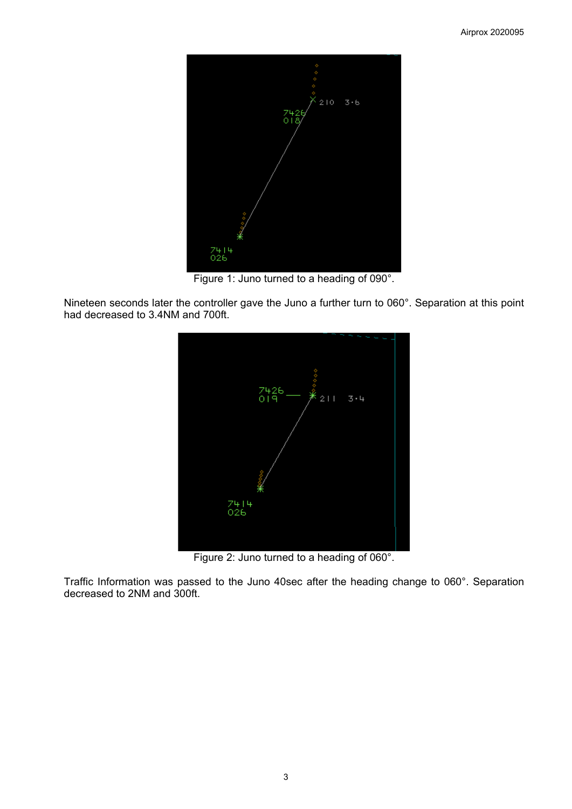

Figure 1: Juno turned to a heading of 090°.

Nineteen seconds later the controller gave the Juno a further turn to 060°. Separation at this point had decreased to 3.4NM and 700ft.



Figure 2: Juno turned to a heading of 060°.

Traffic Information was passed to the Juno 40sec after the heading change to 060°. Separation decreased to 2NM and 300ft.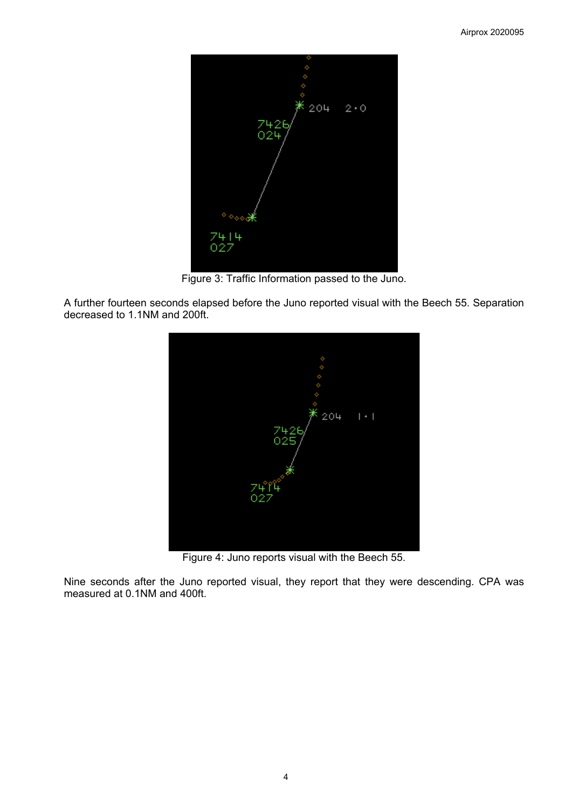

Figure 3: Traffic Information passed to the Juno.

A further fourteen seconds elapsed before the Juno reported visual with the Beech 55. Separation decreased to 1.1NM and 200ft.



Figure 4: Juno reports visual with the Beech 55.

Nine seconds after the Juno reported visual, they report that they were descending. CPA was measured at 0.1NM and 400ft.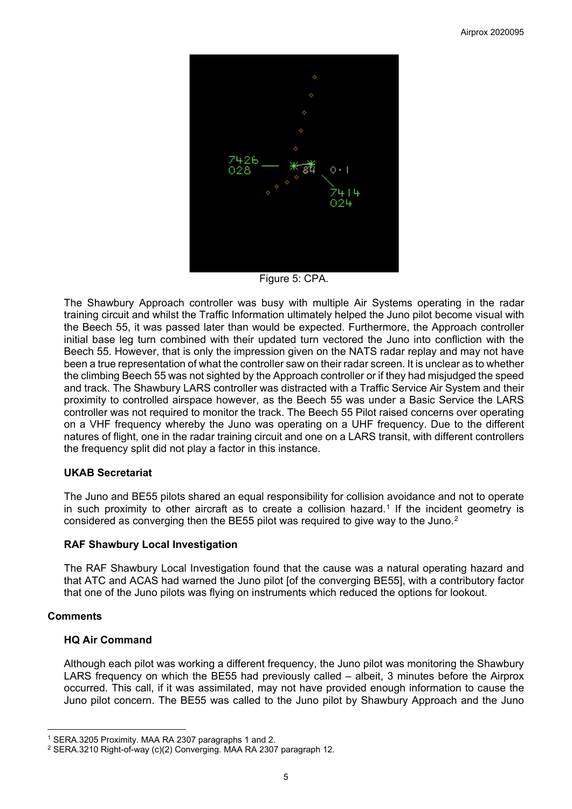

Figure 5: CPA.

The Shawbury Approach controller was busy with multiple Air Systems operating in the radar training circuit and whilst the Traffic Information ultimately helped the Juno pilot become visual with the Beech 55, it was passed later than would be expected. Furthermore, the Approach controller initial base leg turn combined with their updated turn vectored the Juno into confliction with the Beech 55. However, that is only the impression given on the NATS radar replay and may not have been a true representation of what the controller saw on their radar screen. It is unclear as to whether the climbing Beech 55 was not sighted by the Approach controller or if they had misjudged the speed and track. The Shawbury LARS controller was distracted with a Traffic Service Air System and their proximity to controlled airspace however, as the Beech 55 was under a Basic Service the LARS controller was not required to monitor the track. The Beech 55 Pilot raised concerns over operating on a VHF frequency whereby the Juno was operating on a UHF frequency. Due to the different natures of flight, one in the radar training circuit and one on a LARS transit, with different controllers the frequency split did not play a factor in this instance.

## **UKAB Secretariat**

The Juno and BE55 pilots shared an equal responsibility for collision avoidance and not to operate in such proximity to other aircraft as to create a collision hazard.<sup>[1](#page-4-0)</sup> If the incident geometry is considered as converging then the BE55 pilot was required to give way to the Juno.[2](#page-4-1)

## **RAF Shawbury Local Investigation**

The RAF Shawbury Local Investigation found that the cause was a natural operating hazard and that ATC and ACAS had warned the Juno pilot [of the converging BE55], with a contributory factor that one of the Juno pilots was flying on instruments which reduced the options for lookout.

## **Comments**

## **HQ Air Command**

Although each pilot was working a different frequency, the Juno pilot was monitoring the Shawbury LARS frequency on which the BE55 had previously called – albeit, 3 minutes before the Airprox occurred. This call, if it was assimilated, may not have provided enough information to cause the Juno pilot concern. The BE55 was called to the Juno pilot by Shawbury Approach and the Juno

<span id="page-4-0"></span><sup>1</sup> SERA.3205 Proximity. MAA RA 2307 paragraphs 1 and 2.

<span id="page-4-1"></span><sup>2</sup> SERA.3210 Right-of-way (c)(2) Converging. MAA RA 2307 paragraph 12.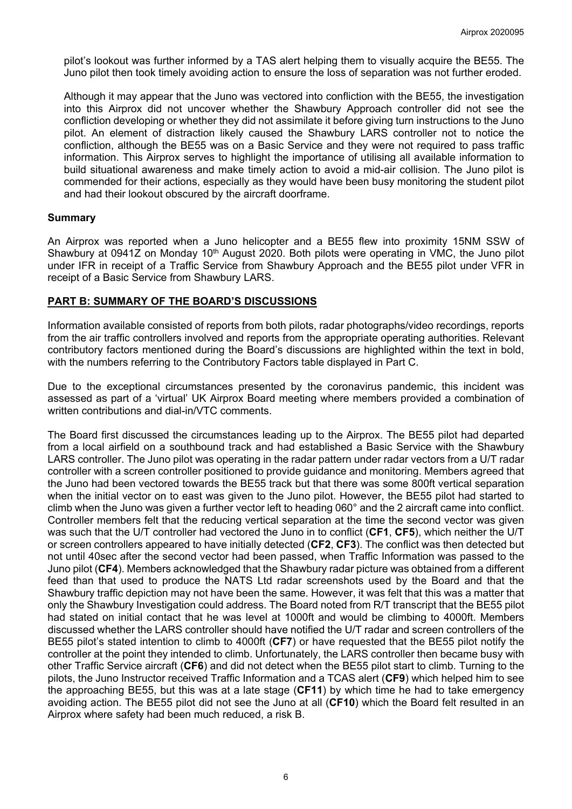pilot's lookout was further informed by a TAS alert helping them to visually acquire the BE55. The Juno pilot then took timely avoiding action to ensure the loss of separation was not further eroded.

Although it may appear that the Juno was vectored into confliction with the BE55, the investigation into this Airprox did not uncover whether the Shawbury Approach controller did not see the confliction developing or whether they did not assimilate it before giving turn instructions to the Juno pilot. An element of distraction likely caused the Shawbury LARS controller not to notice the confliction, although the BE55 was on a Basic Service and they were not required to pass traffic information. This Airprox serves to highlight the importance of utilising all available information to build situational awareness and make timely action to avoid a mid-air collision. The Juno pilot is commended for their actions, especially as they would have been busy monitoring the student pilot and had their lookout obscured by the aircraft doorframe.

#### **Summary**

An Airprox was reported when a Juno helicopter and a BE55 flew into proximity 15NM SSW of Shawbury at 0941Z on Monday 10<sup>th</sup> August 2020. Both pilots were operating in VMC, the Juno pilot under IFR in receipt of a Traffic Service from Shawbury Approach and the BE55 pilot under VFR in receipt of a Basic Service from Shawbury LARS.

#### **PART B: SUMMARY OF THE BOARD'S DISCUSSIONS**

Information available consisted of reports from both pilots, radar photographs/video recordings, reports from the air traffic controllers involved and reports from the appropriate operating authorities. Relevant contributory factors mentioned during the Board's discussions are highlighted within the text in bold, with the numbers referring to the Contributory Factors table displayed in Part C.

Due to the exceptional circumstances presented by the coronavirus pandemic, this incident was assessed as part of a 'virtual' UK Airprox Board meeting where members provided a combination of written contributions and dial-in/VTC comments.

The Board first discussed the circumstances leading up to the Airprox. The BE55 pilot had departed from a local airfield on a southbound track and had established a Basic Service with the Shawbury LARS controller. The Juno pilot was operating in the radar pattern under radar vectors from a U/T radar controller with a screen controller positioned to provide guidance and monitoring. Members agreed that the Juno had been vectored towards the BE55 track but that there was some 800ft vertical separation when the initial vector on to east was given to the Juno pilot. However, the BE55 pilot had started to climb when the Juno was given a further vector left to heading 060° and the 2 aircraft came into conflict. Controller members felt that the reducing vertical separation at the time the second vector was given was such that the U/T controller had vectored the Juno in to conflict (**CF1**, **CF5**), which neither the U/T or screen controllers appeared to have initially detected (**CF2**, **CF3**). The conflict was then detected but not until 40sec after the second vector had been passed, when Traffic Information was passed to the Juno pilot (**CF4**). Members acknowledged that the Shawbury radar picture was obtained from a different feed than that used to produce the NATS Ltd radar screenshots used by the Board and that the Shawbury traffic depiction may not have been the same. However, it was felt that this was a matter that only the Shawbury Investigation could address. The Board noted from R/T transcript that the BE55 pilot had stated on initial contact that he was level at 1000ft and would be climbing to 4000ft. Members discussed whether the LARS controller should have notified the U/T radar and screen controllers of the BE55 pilot's stated intention to climb to 4000ft (**CF7**) or have requested that the BE55 pilot notify the controller at the point they intended to climb. Unfortunately, the LARS controller then became busy with other Traffic Service aircraft (**CF6**) and did not detect when the BE55 pilot start to climb. Turning to the pilots, the Juno Instructor received Traffic Information and a TCAS alert (**CF9**) which helped him to see the approaching BE55, but this was at a late stage (**CF11**) by which time he had to take emergency avoiding action. The BE55 pilot did not see the Juno at all (**CF10**) which the Board felt resulted in an Airprox where safety had been much reduced, a risk B.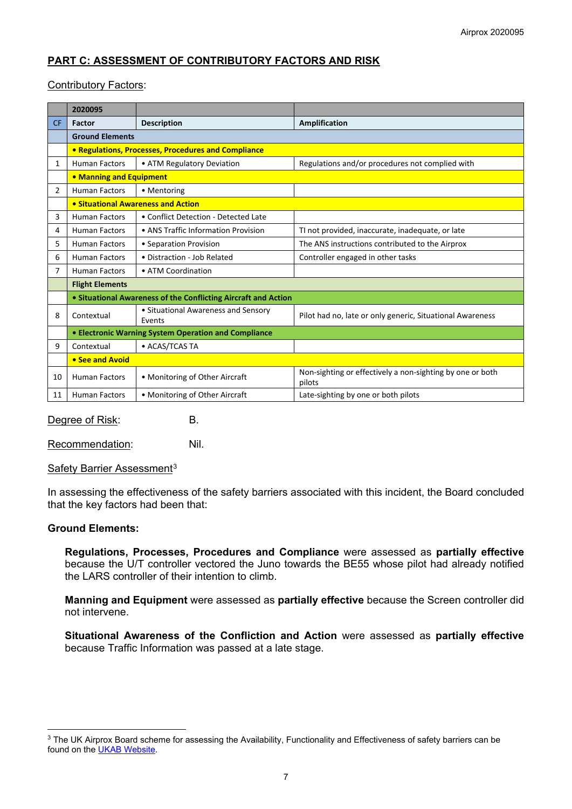## **PART C: ASSESSMENT OF CONTRIBUTORY FACTORS AND RISK**

## Contributory Factors:

|                | 2020095                                              |                                                                |                                                                     |  |  |  |  |  |  |  |  |
|----------------|------------------------------------------------------|----------------------------------------------------------------|---------------------------------------------------------------------|--|--|--|--|--|--|--|--|
| <b>CF</b>      | Factor                                               | <b>Description</b>                                             | Amplification                                                       |  |  |  |  |  |  |  |  |
|                | <b>Ground Elements</b>                               |                                                                |                                                                     |  |  |  |  |  |  |  |  |
|                |                                                      | • Regulations, Processes, Procedures and Compliance            |                                                                     |  |  |  |  |  |  |  |  |
| 1              | <b>Human Factors</b>                                 | • ATM Regulatory Deviation                                     | Regulations and/or procedures not complied with                     |  |  |  |  |  |  |  |  |
|                | • Manning and Equipment                              |                                                                |                                                                     |  |  |  |  |  |  |  |  |
| 2              | <b>Human Factors</b>                                 | • Mentoring                                                    |                                                                     |  |  |  |  |  |  |  |  |
|                | • Situational Awareness and Action                   |                                                                |                                                                     |  |  |  |  |  |  |  |  |
| 3              | <b>Human Factors</b>                                 | • Conflict Detection - Detected Late                           |                                                                     |  |  |  |  |  |  |  |  |
| 4              | <b>Human Factors</b>                                 | • ANS Traffic Information Provision                            | TI not provided, inaccurate, inadequate, or late                    |  |  |  |  |  |  |  |  |
| 5              | <b>Human Factors</b>                                 | • Separation Provision                                         | The ANS instructions contributed to the Airprox                     |  |  |  |  |  |  |  |  |
| 6              | <b>Human Factors</b>                                 | · Distraction - Job Related                                    | Controller engaged in other tasks                                   |  |  |  |  |  |  |  |  |
| $\overline{7}$ | <b>Human Factors</b>                                 | • ATM Coordination                                             |                                                                     |  |  |  |  |  |  |  |  |
|                | <b>Flight Elements</b>                               |                                                                |                                                                     |  |  |  |  |  |  |  |  |
|                |                                                      | • Situational Awareness of the Conflicting Aircraft and Action |                                                                     |  |  |  |  |  |  |  |  |
| 8              | Contextual                                           | • Situational Awareness and Sensory<br>Events                  | Pilot had no, late or only generic, Situational Awareness           |  |  |  |  |  |  |  |  |
|                | • Electronic Warning System Operation and Compliance |                                                                |                                                                     |  |  |  |  |  |  |  |  |
| 9              | Contextual                                           | • ACAS/TCAS TA                                                 |                                                                     |  |  |  |  |  |  |  |  |
|                | • See and Avoid                                      |                                                                |                                                                     |  |  |  |  |  |  |  |  |
| 10             | <b>Human Factors</b>                                 | • Monitoring of Other Aircraft                                 | Non-sighting or effectively a non-sighting by one or both<br>pilots |  |  |  |  |  |  |  |  |
| 11             | <b>Human Factors</b>                                 | • Monitoring of Other Aircraft                                 | Late-sighting by one or both pilots                                 |  |  |  |  |  |  |  |  |

Degree of Risk: B.

Recommendation: Nil.

Safety Barrier Assessment<sup>[3](#page-6-0)</sup>

In assessing the effectiveness of the safety barriers associated with this incident, the Board concluded that the key factors had been that:

#### **Ground Elements:**

**Regulations, Processes, Procedures and Compliance** were assessed as **partially effective** because the U/T controller vectored the Juno towards the BE55 whose pilot had already notified the LARS controller of their intention to climb.

**Manning and Equipment** were assessed as **partially effective** because the Screen controller did not intervene.

**Situational Awareness of the Confliction and Action** were assessed as **partially effective** because Traffic Information was passed at a late stage.

<span id="page-6-0"></span><sup>&</sup>lt;sup>3</sup> The UK Airprox Board scheme for assessing the Availability, Functionality and Effectiveness of safety barriers can be found on the [UKAB Website.](http://www.airproxboard.org.uk/Learn-more/Airprox-Barrier-Assessment/)